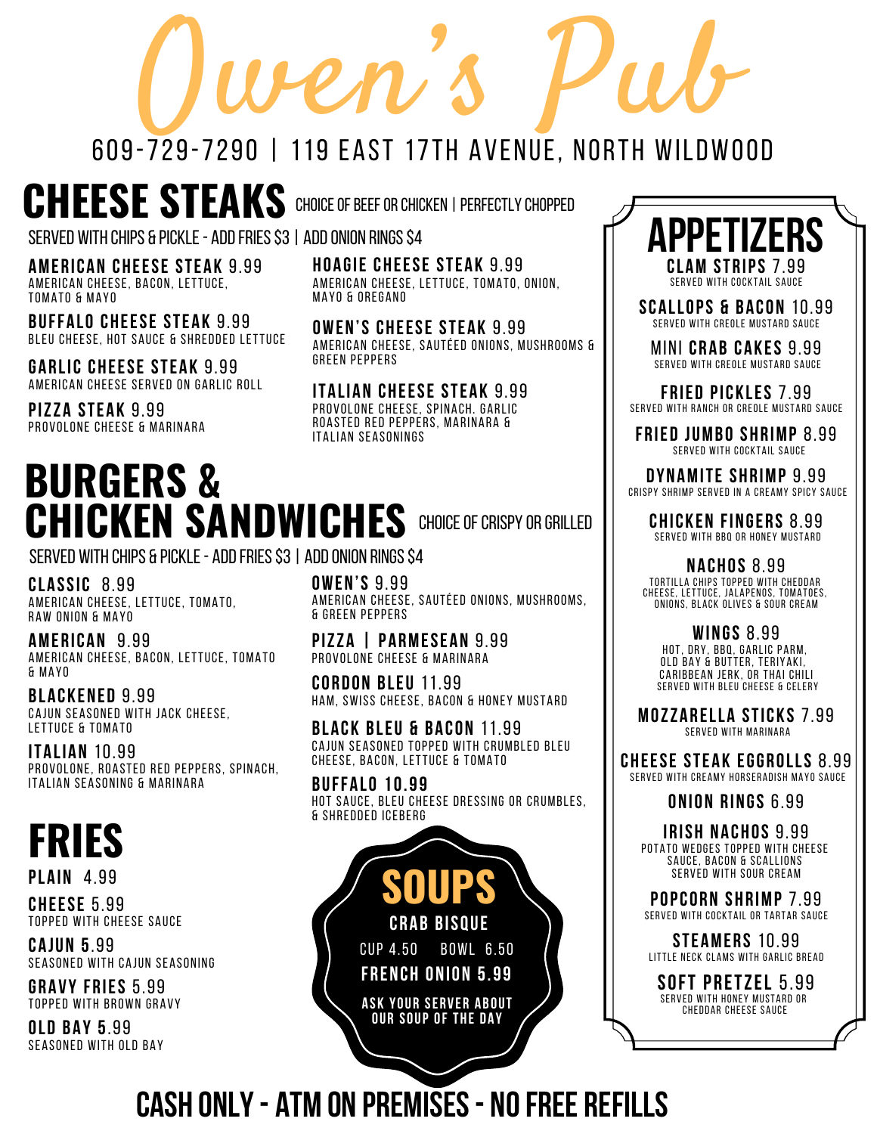# $0$ wen S Pub 609-729-7290 | 119 EAST 17TH AVENUE, NORTH WILDWOOD

# **CHEESE STEAKS** CHOICEOFBeeforCHICkEN |perfectly chopped

SERVED WITH CHIPS & PICKLE - ADD FRIES \$3 | ADD ONION RINGS \$4

**AMERICAN CHEESE STEAK** 9.99 AMERICAN CHEESE, BACON, LETTUCE, TOMATO & MAYO

**BUFFALO CHEESE STEAK** 9.99 BLEU CHEESE, HOT SAUCE & SHREDDED LETTUCE

**GARLIC CHEESE STEAK** 9.99 AMERICAN CHEESE SERVED ON GARLIC ROLL

**PIZZA STEAK** 9.99 PROVOLONE CHEESE & MARINARA **HOAGIE CHEESE STEAK** 9.99 AMERICAN CHEESE, LETTUCE, TOMATO, ONION, MAYO & OREGANO

**OWEN'S CHEESE STEAK** 9.99 AMERICAN CHEESE, SAUTÉED ONIONS, MUSHROOMS & GREEN PEPPERS

**ITALIAN CHEESE STEAK** 9.99 PROVOLONE CHEESE, SPINACH. GARLIC ROASTED RED PEPPERS, MARINARA & ITALIAN SEASONINGS

#### **BURGERS & CHICKEN SANDWICHES** CHOICE OF CRISPY OR GRILLED

SERVED WITH CHIPS & PICKLE - ADD FRIES \$3 | ADD ONION RINGS \$4

**CLASSIC** 8.99 AMERICAN CHEESE, LETTUCE, TOMATO, RAW ONION & MAYO

**AMERICAN** 9.99 AMERICAN CHEESE, BACON, LETTUCE, TOMATO & MAYO

**BLACKENED** 9.99 CAJUN SEASONED WITH JACK CHEESE, LETTUCE & TOMATO

**ITALIAN** 10.99 PROVOLONE, ROASTED RED PEPPERS, SPINACH, ITALIAN SEASONING & MARINARA

# **FRIES**

**PLAIN** 4.99

**CHEESE** 5.99 TOPPED WITH CHEESE SAUCE

**CAJUN 5**.99 SEASONED WITH CAJUN SEASONING

**GRAVY FRIES** 5.99 TOPPED WITH BROWN GRAVY

**OLD BAY 5**.99 SEASONED WITH OLD BAY **OWEN'S** 9.99 AMERICAN CHEESE, SAUTÉED ONIONS, MUSHROOMS, & GREEN PEPPERS

**PIZZA | PARMESEAN** 9.99 PROVOLONE CHEESE & MARINARA

**CORDON BLEU** 11.99 HAM, SWISS CHEESE, BACON & HONEY MUSTARD

**BLACK BLEU & BACON** 11.99 CAJUN SEASONED TOPPED WITH CRUMBLED BLEU CHEESE, BACON, LETTUCE & TOMATO

**BUFFALO 10.99** HOT SAUCE, BLEU CHEESE DRESSING OR CRUMBLES, & SHREDDED ICEBERG

> **SOUPS CRAB BISQUE** CUP 4.50 BOWL 6.50 **FRENCH ONION 5.99**

**ASK YOUR SERVER ABOUT OUR SOUP OF THE DAY**



SERVED WITH COCKTAIL SAUCE

**SCALLOPS & BACON** 10.99 SERVED WITH CREOLE MUSTARD SAUCE

MINI **CRAB CAKES** 9.99 SERVED WITH CREOLE MUSTARD SAUCE

**FRIED PICKLES** 7.99 SERVED WITH RANCH OR CREOLE MUSTARD SAUCE

**FRIED JUMBO SHRIMP** 8.99 SERVED WITH COCKTAIL SAUCE

**DYNAMITE SHRIMP** 9.99 CRISPY SHRIMP SERVED IN A CREAMY SPICY SAUCE

**CHICKEN FINGERS** 8.99 SERVED WITH BBQ OR HONEY MUSTARD

**NACHOS** 8.99 TORTILLA CHIPS TOPPED WITH CHEDDAR CHEESE, LETTUCE, JALAPENOS, TOMATOES, ONIONS, BLACK OLIVES & SOUR CREAM

**WINGS** 8.99 HOT, DRY, BBQ, GARLIC PARM, OLD BAY & BUTTER, TERIYAKI , CARIBBEAN JERK, OR THAI CHILI SERVED WITH BLEU CHEESE & CELERY

**MOZZARELLA STICKS** 7.99 SERVED WITH MARINARA

**CHEESE STEAK EGGROLLS** 8.99 SERVED WITH CREAMY HORSERADISH MAYO SAUCE

**ONION RINGS** 6.99

**IRISH NACHOS** 9.99 POTATO WEDGES TOPPED WITH CHEESE SAUCE, BACON & SCALLIONS SERVED WITH SOUR CREAM

**POPCORN SHRIMP** 7.99 SERVED WITH COCKTAIL OR TARTAR SAUCE

**STEAMERS** 10.99 LITTLE NECK CLAMS WITH GARLIC BREAD

**SOFT PRETZEL** 5.99 SERVED WITH HONEY MUSTARD OR CHEDDAR CHEESE SAUCE

**CASH ONLY- ATM ON PREMISES- NOFREE REFILLS**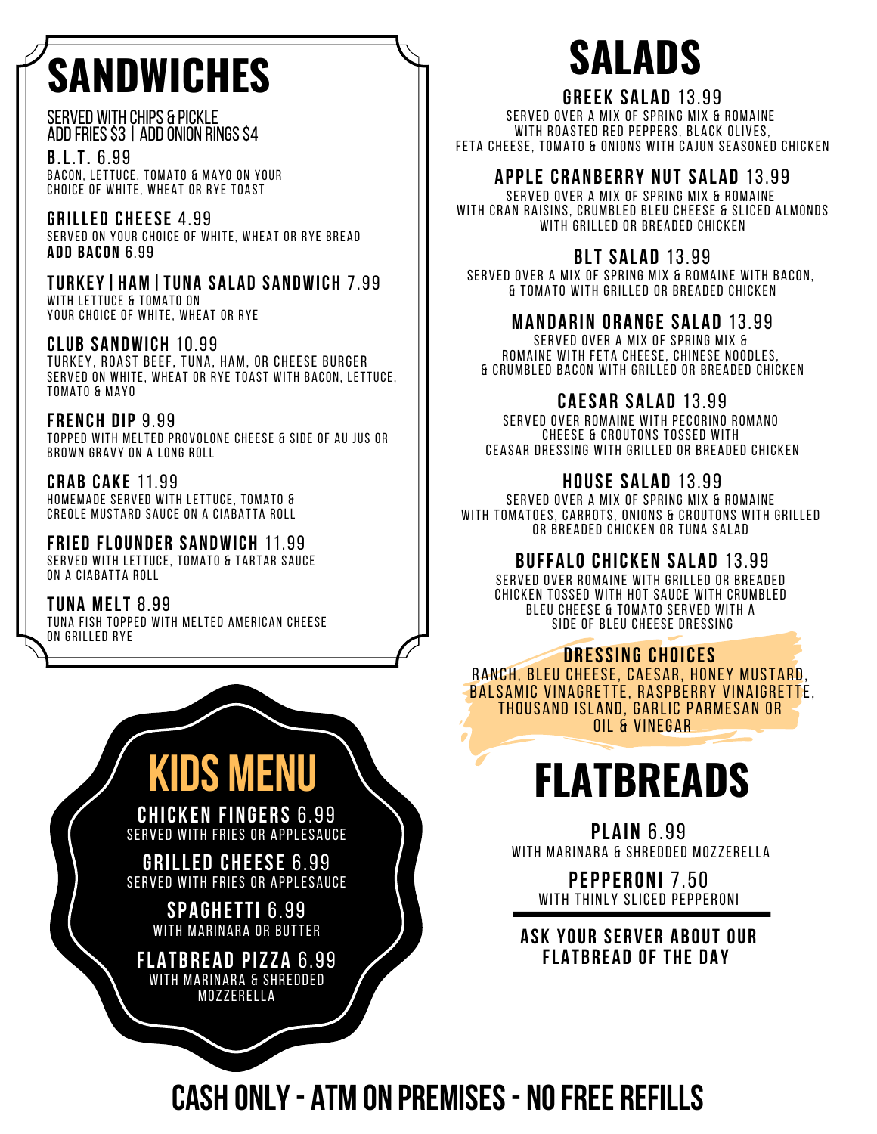# **SANDWICHES**

Served with Chips & Pickle ADD FRIES \$3 | ADD ONION RINGS \$4

**B.L.T.** 6.99 BACON, LETTUCE, TOMATO & MAYO ON YOUR CHOICE OF WHITE, WHEAT OR RYE TOAST

**GRILLED CHEESE** 4.99 SERVED ON YOUR CHOICE OF WHITE, WHEAT OR RYE BREAD **ADD BACON** 6.99

**TURKEY|HAM|TUNA SALAD SANDWICH** 7.99 WITH LETTUCE & TOMATO ON YOUR CHOICE OF WHITE, WHEAT OR RYE

**CLUB SANDWICH** 10.99 TURKEY, ROAST BEEF, TUNA, HAM, OR CHEESE BURGER SERVED ON WHITE, WHEAT OR RYE TOAST WITH BACON, LETTUCE, TOMATO & MAY0

**FRENCH DIP** 9.99 TOPPED WITH MELTED PROVOLONE CHEESE & SIDE OF AU JUS OR BROWN GRAVY ON A LONG ROLL

**CRAB CAKE** 11.99 HOMEMADE SERVED WITH LETTUCE, TOMATO & CREOLE MUSTARD SAUCE ON A CIABATTA ROLL

**FRIED FLOUNDER SANDWICH** 11.99 SERVED WITH LETTUCE, TOMATO & TARTAR SAUCE ON A CIABATTA ROLL

**TUNA MELT** 8.99 TUNA FISH TOPPED WITH MELTED AMERICAN CHEESE ON GRILLED RYE



**FLATBREAD PIZZA** 6.99 WITH MARINARA & SHREDDED MOZZERELLA

# **SALADS**

#### **GREEK SALAD** 13.99

SERVED OVER A MIX OF SPRING MIX & ROMAINE WITH ROASTED RED PEPPERS, BLACK OLIVES, FETA CHEESE, TOMATO & ONIONS WITH CAJUN SEASONED CHICKEN

#### **APPLE CRANBERRY NUT SALAD** 13.99

SERVED OVER A MIX OF SPRING MIX & ROMAINE WITH CRAN RAISINS, CRUMBLED BLEU CHEESE & SLICED ALMONDS WITH GRILLED OR BREADED CHICKEN

#### **BLT SALAD** 13.99

SERVED OVER A MIX OF SPRING MIX & ROMAINE WITH BACON, & TOMATO WITH GRILLED OR BREADED CHICKEN

#### **MANDARIN ORANGE SALAD** 13.99

SERVED OVER A MIX OF SPRING MIX & ROMAINE WITH FETA CHEESE, CHINESE NOODLES, & CRUMBLED BACON WITH GRILLED OR BREADED CHICKEN

#### **CAESAR SALAD** 13.99

SERVED OVER ROMAINE WITH PECORINO ROMANO CHEESE & CROUTONS TOSSED WITH CEASAR DRESSING WITH GRILLED OR BREADED CHICKEN

#### **HOUSE SALAD** 13.99

SERVED OVER A MIX OF SPRING MIX & ROMAINE WITH TOMATOES, CARROTS, ONIONS & CROUTONS WITH GRILLED OR BREADED CHICKEN OR TUNA SALAD

#### **BUFFALO CHICKEN SALAD** 13.99

SERVED OVER ROMAINE WITH GRILLED OR BREADED CHICKEN TOSSED WITH HOT SAUCE WITH CRUMBLED BLEU CHEESE & TOMATO SERVED WITH A SIDE OF BLEU CHEESE DRESSING

#### **DRESSING CHOICES** RANCH, BLEU CHEESE, CAESAR, HONEY MUSTARD,

BALSAMIC VINAGRETTE, RASPBERRY VINAIGRETTE, THOUSAND ISLAND, GARLIC PARMESAN OR OIL & VINEGAR

# **FLATBREADS**

**PLAIN** 6.99 WITH MARINARA & SHREDDED MOZZERELLA

**PEPPERONI** 7.50 WITH THINLY SLICED PEPPERONI

**ASK YOUR SERVER ABOUT OUR FLATBREAD OF THE DAY**

## **CASH ONLY- ATM ON PREMISES- NOFREE REFILLS**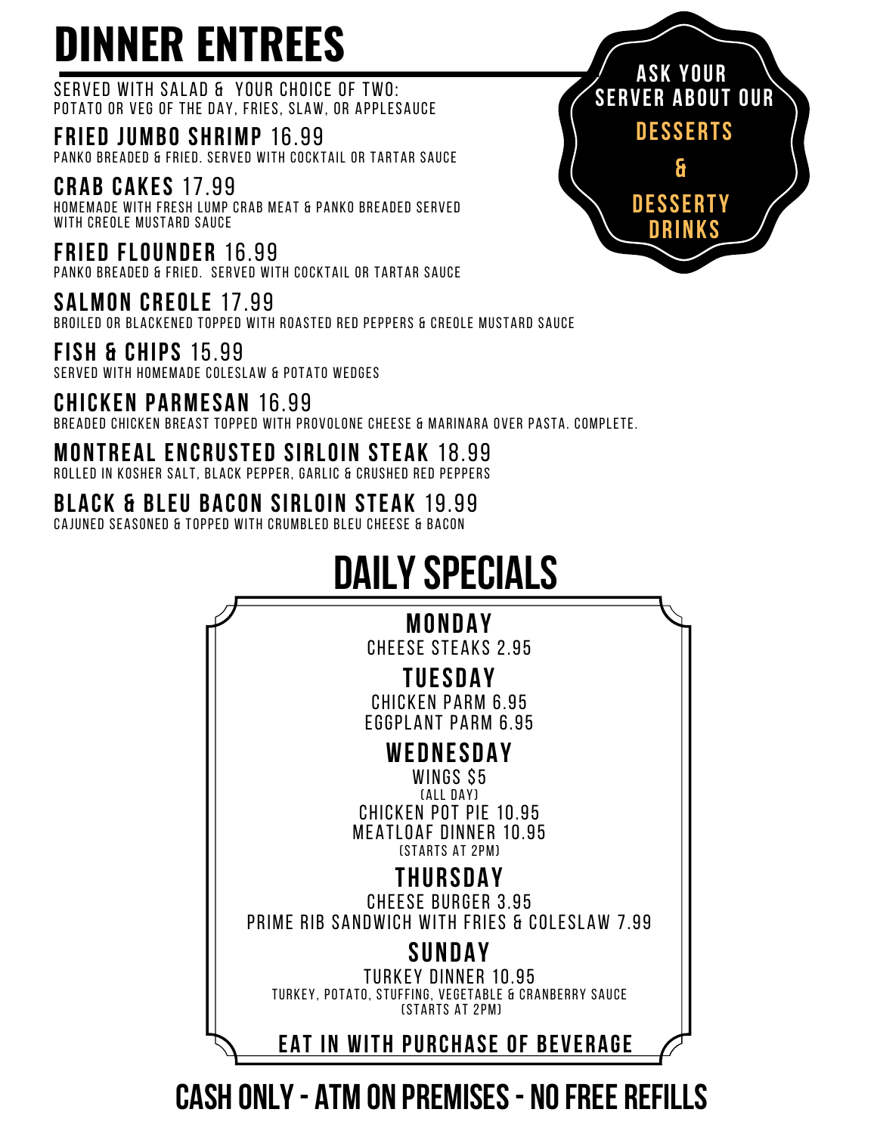# **DINNER ENTREES**

SERVED WITH SALAD & YOUR CHOICE OF TWO: POTATO OR VEG OF THE DAY, FRIES, SLAW, OR APPLESAUCE

**FRIED JUMBO SHRIMP** 16.99 PANKO BREADED & FRIED. SERVED WITH COCKTAIL OR TARTAR SAUCE

**CRAB CAKES** 17.99 HOMEMADE WITH FRESH LUMP CRAB MEAT & PANKO BREADED SERVED WITH CREOLE MUSTARD SAUCE

**FRIED FLOUNDER** 16.99 PANKO BREADED & FRIED. SERVED WITH COCKTAIL OR TARTAR SAUCE

**SALMON CREOLE** 17.99 BROILED OR BLACKENED TOPPED WITH ROASTED RED PEPPERS & CREOLE MUSTARD SAUCE

**FISH & CHIPS** 15.99 SERVED WITH HOMEMADE COLESLAW & POTATO WEDGES

**CHICKEN PARMESAN** 16.99 BREADED CHICKEN BREAST TOPPED WITH PROVOLONE CHEESE & MARINARA OVER PASTA. COMPLETE.

**MONTREAL ENCRUSTED SIRLOIN STEAK** 18.99

ROLLED IN KOSHER SALT, BLACK PEPPER, GARLIC & CRUSHED RED PEPPERS

### **BLACK & BLEU BACON SIRLOIN STEAK** 19.99

CAJUNED SEASONED & TOPPED WITH CRUMBLED BLEU CHEESE & BACON